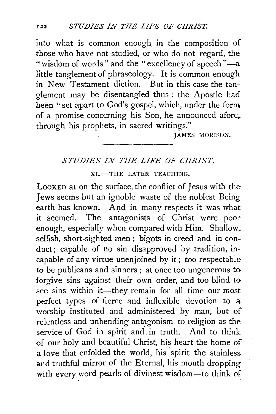into what is common enough. in the composition of those who have not studied, or who do not regard, the "wisdom of words" and the "excellency of speech"-a little tanglement of phraseology. It is common enough in New Testament diction. But in this case the tanglement may be disentangled thus: the Apostle had been " set apart to God's gospel, which, under the form of a promise concerning his Son, he announced afore, through his prophets, in sacred writings."

IAMES MORISON.

## *STUDIES IN THE LIFE OF CHRIST.*

XI.-THE LATER TEACHING.

LooKED at on the surface, the conflict of Jesus with the Jews seems but an ignoble waste of the noblest Being earth has known. And in many respects it was what it seemed. The antagonists of Christ were poor enough, especially when compared with Him. Shallow, selfish, short-sighted men ; bigots in creed and in conduct; capable of no sin disapproved by tradition, incapable of any virtue unenjoined by it; too respectable to be publicans and sinners; at once too ungenerous to forgive sins against their own order, and too blind to see sins within it-they remain for all time our most perfect types of fierce and inflexible devotion to a worship instituted and administered by man, but of relentless and unbending antagonism to religion as the service of God in spirit and. in truth. And to think of our holy and beautiful Christ, his heart the home of a love that enfolded the world, his spirit the stainless and truthful mirror of the Eternal, his mouth dropping with every word pearls of divinest wisdom--to think of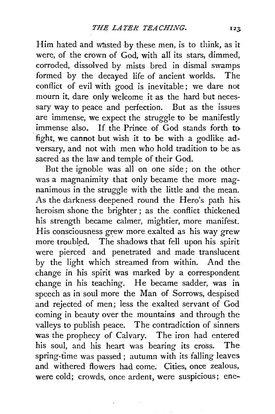Him hated and wasted by these men, is to think, as it were, of the crown of God, with all its stars, dimmed, corroded, dissolved by mists bred in dismal swamps formed by the decayed life of ancient worlds. The conflict of evil with good is inevitable ; we dare not mourn it, dare only welcome it as the hard but necessary way to peace and perfection. But as the issues are immense, we expect the struggle to be manifestly immense also. If the Prince of God stands forth to . fight, we cannot but wish it to be with a godlike adversary, and not with men who hold tradition to be as. sacred as the law and temple of their God.

But the ignoble was all on one side; on the other was a magnanimity that only became the more magnanimous in the struggle with the little and the mean. As the darkness deepened round the Hero's path his. heroism shone the brighter ; as the conflict thickened his strength became calmer, mightier, more manifest. His consciousness grew more exalted as his way grew more troubled. The shadows that fell upon his spirit were pierced and penetrated and made translucent by the light which streamed from within. And the change in his spirit was marked by a correspondent change in his teaching. He became sadder, was in speech as in soul more the Man of Sorrows, despised and rejected of men; less the exalted servant of God coming in beauty over the mountains and through the valleys to publish peace. The contradiction of sinners was the prophecy of Calvary. The iron had entered his soul, and his heart was bearing its cross. The spring-time was passed : autumn with its falling leaves and withered flowers had come. Cities, once zealous, were cold; crowds, once ardent, were suspicious; ene-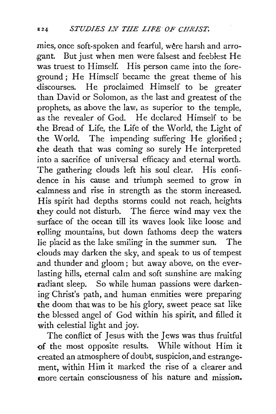mies, once soft-spoken and fearful, were harsh and arrogant. But just when men were falsest and feeblest He was truest to Himself. His person came into the foreground; He Himself became the great theme of his -discourses. He proclaimed Himself to be greater than David or Solomon, as the last and greatest of the prophets, as above the law, as superior to the temple, as the revealer of God. He declared Himself to be the Bread of Life, the Life of the World, the Light of the World. The impending suffering He glorified; the death that was coming so surely He interpreted into a sacrifice of universal efficacy and eternal worth. The gathering clouds left his soul clear. His confidence in his cause and triumph seemed to grow in .calmness and rise in strength as the storm increased. His spirit had depths storms could not reach, heights they could not disturb. The fierce wind may vex the surface of the ocean till its waves look like loose and rolling mountains, but down fathoms deep the waters lie placid as the lake smiling in the summer sun. The clouds may darken the sky, and speak to us of tempest and thunder and gloom; but away above, on the everlasting hills, eternal calm and soft sunshine are making radiant sleep. So while human passions were darkening Christ's path, and human enmities were preparing the doom that was to be his glory, sweet peace sat like the blessed angel of God within his spirit, and filled it with celestial light and joy.

The conflict of Jesus with the Jews was thus fruitful <>f the most opposite results. While without Him it .created an atmosphere of doubt, suspicion, and estrangement, within Him it marked the rise of a clearer and more certain consciousness of his nature and mission.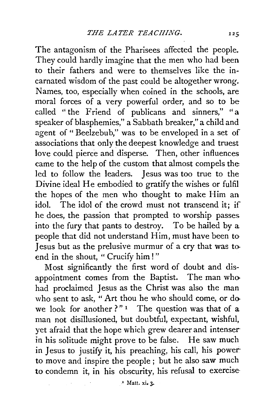The antagonism of the Pharisees affected the people. They could hardly imagine that the men who had been to their fathers and were to themselves like the incarnated wisdom of the past could be altogether wrong. Names, too, especially when coined in the schools, are moral forces of a very powerful order, and so to be called "the Friend of publicans and sinners," "a speaker of blasphemies," a Sabbath breaker," a child and agent of " Beelzebub," was to be enveloped in a set of associations that only the deepest knowledge and truest love could pierce and disperse. Then, other influences came to the help of the custom that almost compels the led to follow the leaders. Jesus was too true to the Divine ideal He embodied to gratify the wishes or fulfil the hopes of the men who thought to make Him an idol. The idol of the crowd must not transcend it; if he does, the passion that prompted to worship passes into the fury that pants to destroy. To be hailed by a people that did not understand Him, must have been to Jesus but as the prelusive murmur of a cry that was to. end in the shout, " Crucify him ! "

Most significantly the first word of doubt and disappointment comes from the Baptist. The man whohad proclaimed Jesus as the Christ was also the man who sent to ask, "Art thou he who should come, or dowe look for another?" $\frac{1}{1}$  The question was that of a man not disillusioned, but doubtful, expectant, wishful, yet afraid that the hope which grew dearer and intenserin his solitude might prove to be false. He saw much in Jesus to justify it, his preaching, his call, his power to move and inspire the people; but he also saw much to condemn it, in his obscurity, his refusal to exercise-

 $\cdot$  Matt. xi. 3.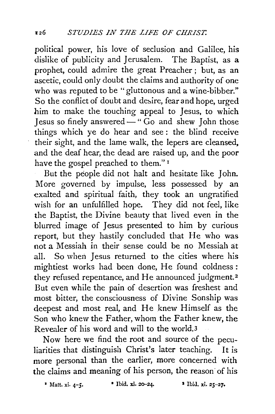political power, his love of seclusion and Galilee, his dislike of publicity and Jerusalem. The Baptist, as a prophet, could admire the great Preacher ; but, as an ascetic, could only doubt the claims and authority of one who was reputed to be "gluttonous and a wine-bibber." So the conflict of doubt and desire, fear and hope, urged him to make the touching appeal to Jesus, to which Jesus so finely answered- " Go and shew John those things which ye do hear and see : the blind receive their sight, and the lame walk, the lepers are cleansed, and the deaf hear, the dead are raised up, and the poor have the gospel preached to them." <sup>1</sup>

But the people did not halt and hesitate like John. More governed by impulse, less possessed by an exalted and spiritual faith, they took an ungratified wish for an unfulfilled hope. They did not feel, like the Baptist, the Divine beauty that lived even in the blurred image of Jesus presented to him by curious report, but they hastily concluded that He who was not a Messiah in their sense could be no Messiah at all. So when Jesus returned to the cities where his mightiest works had been done, He found coldness: they refused repentance, and He announced judgment.<sup>2</sup> But even while the pain of desertion was freshest and most bitter, the consciousness of Divine Sonship was deepest and most real, and He knew Himself as the Son who knew the Father, whom the Father knew, the Revealer of his word and will to the world.3

Now here we find the root and source of the peculiarities that distinguish Christ's later teaching. It is more personal than the earlier, more concerned with the claims and meaning of his person, the reason· of his

<sup>2</sup> Matt. xi. 4-5. <sup>•</sup> Ibid. xi. 20-24. <sup>•</sup> Ibid. xi. 25-27.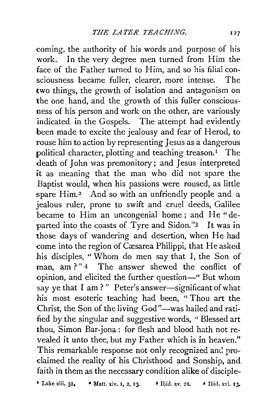coming, the authority of his words and purpose of his work. In the very degree men turned from Him the face of the Father turned to Him, and so his filial consciousness became fuller, clearer, more intense. The two things, the growth of isolation and antagonism on the one hand, and the growth of this fuller consciousness of his person and work on the other, are variously indicated in the Gospels. The attempt had evidently been made to excite the jealousy and fear of Herod, to rouse him to action by representing Jesus as a dangerous political character, plotting and teaching treason.<sup>1</sup> The death of John was premonitory; and Jesus interpreted it as meaning that the man who did not spare the Baptist would, when his passions were roused, as little spare Him.<sup>2</sup> And so with an unfriendly people and a jealous ruler, prone to swift and cruel deeds, Galilee became to Him an uncongenial home; and He" departed into the coasts of Tyre and Sidon."3 It was in those days of wandering and desertion, when He had come into the region of Cæsarea Philippi, that He asked his disciples, " Whom do men say that I, the Son of man, am ?" 4 The answer shewed the conflict of opinion, and elicited the further question-" But whom say ye that I am?" Peter's answer-significant of what his most esoteric teaching had been, " Thou art the Christ, the Son of the living God"-was hailed and ratified by the singular and suggestive words, "Blessed art thou, Simon Bar-jona: for flesh and blood hath not revealed it unto thee, but my Father which is in heaven." This remarkable response not only recognized and proclaimed the reality of his Christhood and Sonship, and faith in them as the necessary condition alike of disciple-

• Luke xiii. 31. • Matt. xiv. *r,* 2, 13. s Ibid. xv. *zr.* 4 Ibid. xvi. 13-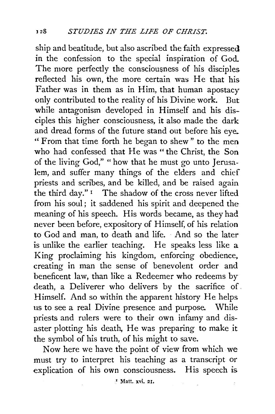ship and beatitude, but also ascribed the faith expressed in the confession to the special inspiration of God. The more perfectly the consciousness of his disciples. reflected his own, the more certain was He that his Father was in them as in Him, that human apostacy only contributed to the reality of his Divine work. But while antagonism developed in Himself and his disciples this higher consciousness, it also made the dark and dread forms of the future stand out before his eye. ''From that time forth he began to shew" to the men who had confessed that He was "the Christ, the Son of the living God," " how that he must go unto Jerusalem, and suffer many things of the elders and chief priests and scribes, and be killed, and be raised again the third day." $I$  The shadow of the cross never lifted from his soul; it saddened his spirit and deepened the meaning of his speech. His words became, as they had never been before, expository of Himself, of his relation to God and man, to death and life. And so the later is unlike the earlier teaching. He speaks less like a King proclaiming his kingdom, enforcing obedience, creating in man the sense of benevolent order and beneficent law, than like a Redeemer who redeems by death, a Deliverer who delivers by the sacrifice of. Himself. And so within the apparent history He helps us to see a real Divine presence and purpose. While priests and rulers were to their own infamy and disaster plotting his death, He was preparing to make it the symbol of his truth, of his might to save.

Now here we have the point of view from which we must try to interpret his teaching as a transcript or explication of his own consciousness. His speech is.

*'* Matt. xvi. 2.1.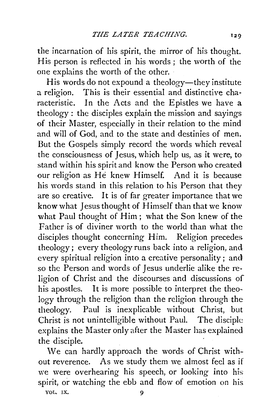the incarnation of his spirit, the mirror of his thought. His person is reflected in his words; the worth of the one explains the worth of the other.

His words do not expound a theology—they institute a religion. This is their essential and distinctive characteristic. In the Acts and the Epistles we have a theology: the disciples explain the mission and sayings of their Master, especially in their relation to the mind and will of God, and to the state and destinies of men. But the Gospels simply record the words which reveal the consciousness of Jesus, which help us, as it were, to stand within his spirit and know the Person who created our religion as He knew Himself. And it is because his words stand in this relation to his Person that they are so creative. It is of far greater importance that we know what Jesus thought of Himself than that we know what Paul thought of Him; what the Son knew of the Father is of diviner worth to the world than what the disciples thought concerning Him. Religion precedes. theology; every theology runs back into a religion, and every spiritual religion into a creative personality; and so the Person and words of Jesus underlie alike the religion of Christ and the discourses and discussions of his apostles. It is more possible to interpret the theology through the religion than the religion through the theology. Paul is inexplicable without Christ, but Christ is not unintelligible without Paul. The disciple explains the Master only after the Master has explained the disciple.

\Ve can hardly approach the words of Christ without reverence. As we study them we almost feel as if we were overhearing his speech, or looking into his spirit, or watching the ebb and flow of emotion on his VOL. IX. 9

129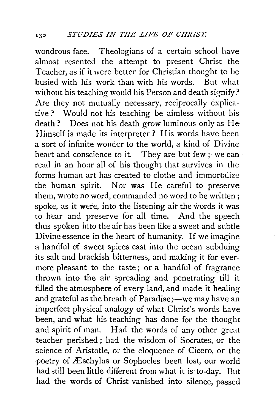wondrous face. Theologians of a certain school have almost resented the attempt to present Christ the Teacher, as if it were better for Christian thought to be busied with his work than with his words. But what without his teaching would his Person and death signify? Are they not mutually necessary, reciprocally explicative? Would not his teaching be aimless without his death ? Does not his death grow luminous only as He Himself is made its interpreter? His words have been a sort of infinite wonder to the world, a kind of Divine heart and conscience to it. They are but few ; we can  $\cdot$ read in an hour all of his thought that survives in the forms human art has created to clothe and immortalize the human spirit. Nor was He careful to preserve them, wrote no word, commanded no word to be written ; spoke, as it were, into the listening air the words it was to hear and preserve for all time. And the speech thus spoken into the air has been like a sweet and subtle Divine essence in the heart of humanity. If we imagine a handful of sweet spices cast into the ocean subduing its salt and brackish bitterness, and making it for evermore pleasant to the taste ; or a handful of fragrance thrown into the air spreading and penetrating till it filled the atmosphere of every land, and made it healing and grateful as the breath of Paradise;—we may have an imperfect physical analogy of what Christ's words have been, and what his teaching has done for the thought and spirit of man. Had the words of any other great teacher perished ; had the wisdom of Socrates, or the science of Aristotle, or the eloquence of Cicero, or the poetry of Æschylus or Sophocles been lost, our world had still been little different from what it is to-day. But had the words of Christ vanished into silence, passed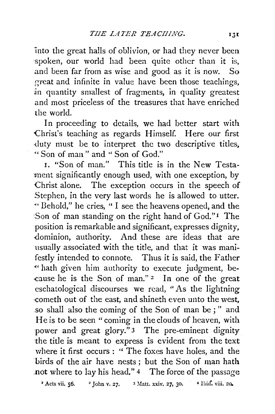into the great halls of oblivion, or had they never been ·spoken, our world had been quite other than it is, .and been far from as wise and good as it is now. So great and infinite in value have been those teachings, in quantity smallest of fragments, in quality greatest and most priceless of the treasures that have enriched the world.

In proceeding to details, we had better start with Christ's teaching as regards Himself. Here our first duty must be to interpret the two descriptive titles, " Son of man " and '' Son of God."

I. "Son of man." This title is in the New Testament significantly enough used, with one exception, by Christ alone. The exception occurs in the speech of Stephen, in the very last words he is allowed to utter. "'' Behold," he cries, " I see the heavens opened, and the ·Son of man standing on the right hand of God." 1 The position is remarkable and significant, expresses dignity, .dominion, authority. And these are ideas that are usually associated with the title, and that it was manifestly intended to connote. Thus it is said, the Father "' hath given him authority to execute judgment, be- -cause he is the Son of man." 2 In one of the great eschatological discourses we read, " As the lightning -cometh out of the east, and shineth even unto the west, so shall also the coming of the Son of man be ; " and He is to be seen "coming in the clouds of heaven, with power and great glory."<sup>3</sup> The pre-eminent dignity the title is meant to express is evident from the text where it first occurs : " The foxes have holes, and the birds of the air have nests ; but the Son of man hath .not where to lay his head." 4 The force of the passage

<sup>1</sup> Acts vii. 56. <sup>•</sup> John v. 27. <sup>3</sup> Matt. xxiv. 27, 30. • <sup>4</sup> Ibid. viii. 20.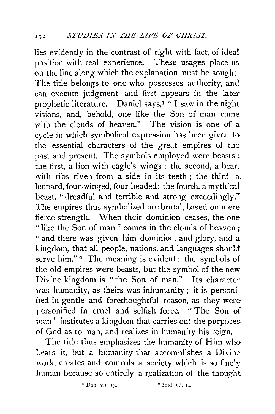lies evidently in the contrast of right with fact, of ideaf position with real experience. These usages place us on the line along which the explanation must be sought. The title belongs to one who possesses authority, and can execute judgment, and first appears in the later prophetic literature. Daniel says,  $I^{\alpha}$  I saw in the night visions, and, behold, one like the Son of man came with the clouds of heaven." The vision is one of a cycle in which symbolical expression has been given to the essential characters of the great empires of the past and present. The symbols employed were beasts : the first, a lion with eagle's wings ; the second, a bear. with ribs riven from a side in its teeth : the third, a leopard, four-winged, four-headed; the fourth, a mythical beast, "dreadful and terrible and strong exceedingly." The empires thus symbolized are brutal, based on mere fierce strength. When their dominion ceases, the one "like the Son of man" comes in the clouds of heaven ; "and there was given him dominion, and glory, and a kingdom, that all people, nations, and languages should serve him."<sup>2</sup> The meaning is evident: the symbols of the old empires were beasts, but the symbol of the new Divine kingdom is " the Son of man." Its character was humanity, as theirs was inhumanity; it is personified in gentle and forethoughtful reason, as they were personified in cruel and selfish force. " The Son of man" institutes a kingdom that carries out the purposes. of God as. to man, and realizes in humanity his reign.

The title thus emphasizes the humanity of Him who bears it, but a humanity that accomplishes a Divine work, creates and controls a society which is so finely human because so entirely a realization of the thought

<sup>1</sup> Dan. vii. 13. <sup>2</sup> Ibid. vii. 14.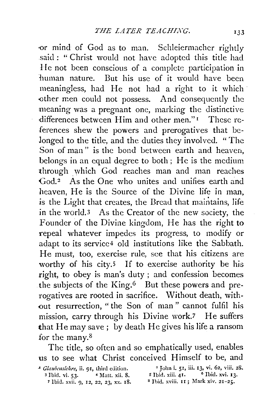·or mind of God as to man. Schleiermachcr rightly said: "Christ would not have adopted this title had He not been conscious of a complete participation in human nature. But his use of it would have been meaningless, had He not had a right to it which other men could not possess. And consequently the meaning was a pregnant one, marking the distinctive differences between Him and other men."<sup>1</sup> These references shew the powers and prerogatives that belonged to the title, and the duties they involved. "The Son of man " is the bond between earth and heaven, belongs in an equal degree to both; He is the medium through \_which God reaches man and man reaches God.<sup>2</sup> As the One who unites and unifies earth and heaven, He is the Source of the Divine life in man, is the Light that creates, the Bread that maintains, life in the world.3 As the Creator of the new society, the Founder of the Divine kingdom, He has the right to repeal whatever impedes its progress, to modify or adapt to its service4 old institutions like the Sabbath. He must, too, exercise rule, see that his citizens are worthy of his city.<sup>5</sup> If to exercise authority be his right, to obey is man's duty ; and confession becomes the subjects of the  $King.6$  But these powers and prerogatives are rooted in sacrifice. Without death, with out resurrection, " the Son of man" cannot fulfil his mission, carry through his Divine work.7 He suffers that He may save ; by death He gives his life a ransom for the many. $8$ 

The title, so often and so emphatically used, enables us to see what Christ conceived Himself to be, and <sup>1</sup> *Glaubenslehre*, ii. 91, third edition. <sup>2</sup> John i. 51, iii. 13, vi. 62, viii. 28.<br><sup>2</sup> Ibid. vi. 53. <sup>4</sup> Matt. xii. 8. <sup>5</sup> Ibid. xiii. 41. <sup>6</sup> Ibid. xvi. 13. 3 Ibid. vi. 53· 4 Matt. xii. 8. *5* Ibid. xiii. 41. 6 Ibid. xvi. IJ. *7* Ibid. xvii. 9, 12, 22, 23, xx. 18. 8 Ibid. xviii. 11; Mark xiv. 21-25.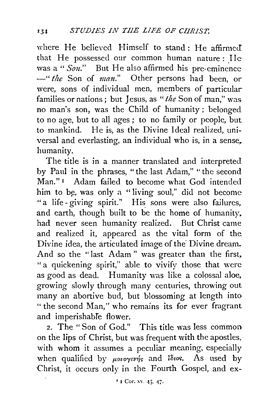where He believed Himself to stand: He affirmed that He possessed our common human nature: IIe was a " *Son*." But He also affirmed his pre-eminence -" *the* Son of *man*." Other persons had been, or were, sons of individual men, members of particular families or nations ; but Jesus, as *"the* Son of man," \vas no man's son, was the Child of humanity; belonged to no age, but to all ages; to no family or people, but to mankind. He is, as the Divine Ideal realized, universal and everlasting, an individual who is, in a sense,. humanity.

The title is in a manner translated and interpreted by Paul in the phrases, "the last Adam," "the second Man."<sup>1</sup> Adam failed to become what God intended him to be, was only a "living soul," did not become "a life-giving spirit." His sons were also failures, and earth, though built to be the home of humanity. had never seen humanity realized. But Christ came and realized it, appeared as the vital form of the Divine idea, the articulated image of the Divine dream. And so the "last Adam " was greater than the first. "a quickening spirit," able to vivify those that were as good as dead. Humanity was like a colossal aloe, growing slowly through many centuries, throwing out many an abortive bud, but blossoming at length into "the second Man," who remains its for ever fragrant and imperishable flower.

2. The "Son of God." This title was less common on the lips of Christ, but was frequent with the apostles, with whom it assumes a peculiar meaning, especially when qualified by *poroyerns* and this. As used by ·Christ, it occurs only in the Fourth Gospel, and ex-

' 1 Cor. X\'. *45.* 47·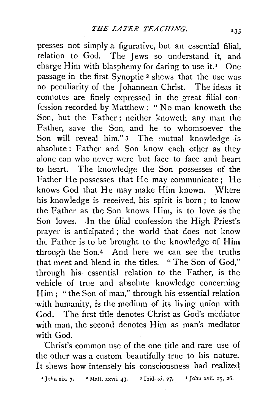presses not siinply a figurative, but an essential filial, relation to God. The Jews so understand it, and charge Him with blasphemy for daring to use it.<sup>1</sup> One passage in the first Synoptic 2 shews that the use was no peculiarity of the Johannean Christ. The ideas it connotes are finely expressed in the great filial confession recorded by Matthew : " No man knoweth the Son, but the Father; neither knoweth any man the Father, save the Son, and he to whomsoever the Son will reveal him."<sup>3</sup> The mutual knowledge is absolute: Father and Son know each other as they alone can who never were but face to face and heart to heart. The knowledge the Son possesses of the Father He possesses that He may communicate; He knows God that He may make Him known. \Vhere his knowledge is. received, his spirit is born; to know the Father as the Son knows Him, is to love as the Son loves. In the filial confession the High Priest's prayer is anticipated ; the world that does not know the Father is to be brought to the knowledge of Him through the Son.4 And here we can see the truths that meet and blend in the titles. " The Son of God," through his essential relation to the Father, is the vehicle of true and absolute knowledge concerning Him; "the Son of man," through his essential relation with humanity, is the medium of its living union with God. The first title denotes Christ as God's mediator with man, the second denotes Him as man's mediator with God.

'Christ's common use of the one title and rare use of the other was a custom beautifully true to his nature. It shews how intensely his consciousness had realized

'John xix. 7. 2 Matt. xxvii. 43. 3 Ibid. xi. 27. 4 John xvii. 25, 26.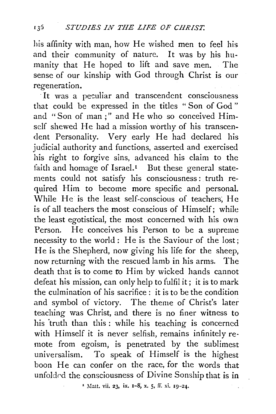his affinity with man, how He wished men to feel his and their community of nature. It was by his humanity that He hoped to lift and save men. The sense of our kinship with God through Christ is our regeneration.

It was a peculiar and transcendent consciousness that could be expressed in the titles "Son of God" and "Son of man;" and He who so conceived Himself shewed He had a mission worthy of his transcendent Personality. Very early He had declared his judicial authority and functions, asserted and exercised his right to forgive sins, advanced his claim to the faith and homage of Israel.<sup> $I$ </sup> But these general statements could not satisfy his consciousness : truth required Him to become more specific and personal. While He is the least self-conscious of teachers; He is of all teachers the most conscious of Himself; while the least egotistical, the most concerned with his own Person. He conceives his Person to be a supreme necessity to the world : He is the Saviour of the lost; He is the Shepherd, now giving his life for the sheep, now returning with the rescued lamb in his arms. The death that is to come to Him by wicked hands cannot defeat his mission, can only help to fulfil it; it is to mark the culmination of his sacrifice : it is to be the condition and symbol of victory. The theme of Christ's later teaching was Christ, and there is no finer witness to his 'truth than this : while his teaching is concerned with Himself it is never selfish, remains infinitely remote from egoism, is penetrated by the sublimest universalism. To speak of Himself is the highest boon He can confer on the race, for the words that unfolded the consciousness of Divine Sonship that is in

 $'$  Matt. vii. 23, ix. 1-8, x. 5, ff. xi. 19-24.